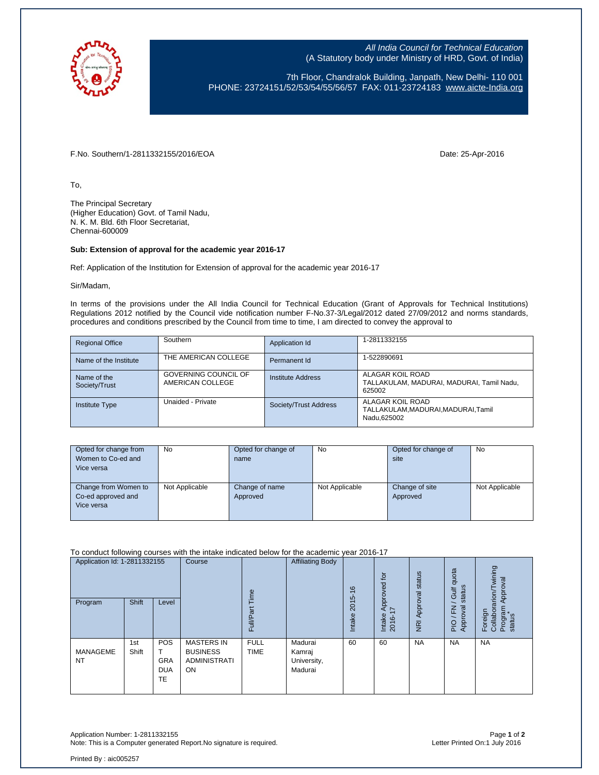

All India Council for Technical Education (A Statutory body under Ministry of HRD, Govt. of India)

7th Floor, Chandralok Building, Janpath, New Delhi- 110 001 PHONE: 23724151/52/53/54/55/56/57 FAX: 011-23724183 [www.aicte-India.org](http://www.aicte-india.org/)

F.No. Southern/1-2811332155/2016/EOA Date: 25-Apr-2016

To,

The Principal Secretary (Higher Education) Govt. of Tamil Nadu, N. K. M. Bld. 6th Floor Secretariat, Chennai-600009

## **Sub: Extension of approval for the academic year 2016-17**

Ref: Application of the Institution for Extension of approval for the academic year 2016-17

Sir/Madam,

In terms of the provisions under the All India Council for Technical Education (Grant of Approvals for Technical Institutions) Regulations 2012 notified by the Council vide notification number F-No.37-3/Legal/2012 dated 27/09/2012 and norms standards, procedures and conditions prescribed by the Council from time to time, I am directed to convey the approval to

| <b>Regional Office</b>       | Southern                                 | Application Id        | 1-2811332155                                                            |
|------------------------------|------------------------------------------|-----------------------|-------------------------------------------------------------------------|
| Name of the Institute        | THE AMERICAN COLLEGE                     | Permanent Id          | 1-522890691                                                             |
| Name of the<br>Society/Trust | GOVERNING COUNCIL OF<br>AMERICAN COLLEGE | Institute Address     | ALAGAR KOIL ROAD<br>TALLAKULAM, MADURAI, MADURAI, Tamil Nadu,<br>625002 |
| <b>Institute Type</b>        | Unaided - Private                        | Society/Trust Address | ALAGAR KOIL ROAD<br>TALLAKULAM.MADURAI.MADURAI.Tamil<br>Nadu.625002     |

| Opted for change from<br>Women to Co-ed and<br>Vice versa | No             | Opted for change of<br>name | <b>No</b>      | Opted for change of<br>site | <b>No</b>      |
|-----------------------------------------------------------|----------------|-----------------------------|----------------|-----------------------------|----------------|
| Change from Women to<br>Co-ed approved and<br>Vice versa  | Not Applicable | Change of name<br>Approved  | Not Applicable | Change of site<br>Approved  | Not Applicable |

To conduct following courses with the intake indicated below for the academic year 2016-17

| Application Id: 1-2811332155<br>Program | Shift        | Level                                        | Course                                                                   | Time<br>ω<br>Full          | <b>Affiliating Body</b>                     | $\frac{6}{5}$<br>2015<br><b>Intake</b> | $\overline{c}$<br>Approved t<br>I7<br>Intake<br>2016- | Approval status<br>$\overline{R}$ | quota<br>status<br>Gulf<br>roval<br>준<br>App<br>PIO | wining<br>Approval<br>Foreign<br>Collaborarion/Tv<br>Program<br>status |
|-----------------------------------------|--------------|----------------------------------------------|--------------------------------------------------------------------------|----------------------------|---------------------------------------------|----------------------------------------|-------------------------------------------------------|-----------------------------------|-----------------------------------------------------|------------------------------------------------------------------------|
| MANAGEME<br><b>NT</b>                   | 1st<br>Shift | <b>POS</b><br><b>GRA</b><br><b>DUA</b><br>TE | <b>MASTERS IN</b><br><b>BUSINESS</b><br><b>ADMINISTRATI</b><br><b>ON</b> | <b>FULL</b><br><b>TIME</b> | Madurai<br>Kamraj<br>University,<br>Madurai | 60                                     | 60                                                    | <b>NA</b>                         | <b>NA</b>                                           | <b>NA</b>                                                              |

Application Number: 1-2811332155 Page **1** of **2** Note: This is a Computer generated Report. No signature is required.

Printed By : aic005257